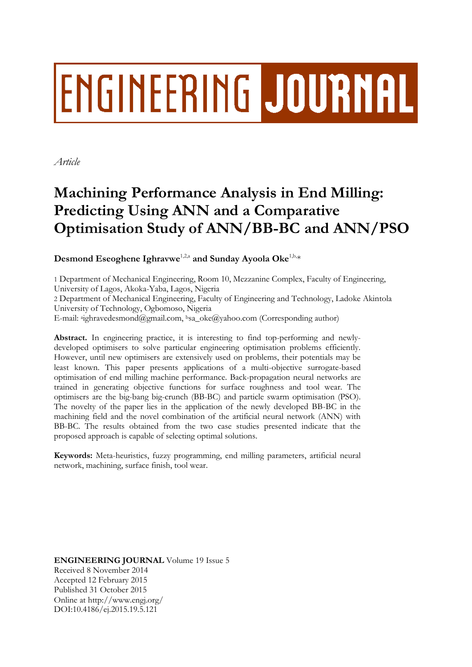# **ENGINEERING JOURNAL**

*Article*

# **Machining Performance Analysis in End Milling: Predicting Using ANN and a Comparative Optimisation Study of ANN/BB-BC and ANN/PSO**

 $\bf{Desmond~Eseoghene~Ighrawwe}^{1,2,a}$  and  $\bf{Sunday~Ayoola~Oke}^{1,b,_\ast}$ 

1 Department of Mechanical Engineering, Room 10, Mezzanine Complex, Faculty of Engineering, University of Lagos, Akoka-Yaba, Lagos, Nigeria

2 Department of Mechanical Engineering, Faculty of Engineering and Technology, Ladoke Akintola University of Technology, Ogbomoso, Nigeria

E-mail: <sup>a</sup>ighravedesmond@gmail.com, <sup>b</sup>sa\_oke@yahoo.com (Corresponding author)

**Abstract.** In engineering practice, it is interesting to find top-performing and newlydeveloped optimisers to solve particular engineering optimisation problems efficiently. However, until new optimisers are extensively used on problems, their potentials may be least known. This paper presents applications of a multi-objective surrogate-based optimisation of end milling machine performance. Back-propagation neural networks are trained in generating objective functions for surface roughness and tool wear. The optimisers are the big-bang big-crunch (BB-BC) and particle swarm optimisation (PSO). The novelty of the paper lies in the application of the newly developed BB-BC in the machining field and the novel combination of the artificial neural network (ANN) with BB-BC. The results obtained from the two case studies presented indicate that the proposed approach is capable of selecting optimal solutions.

**Keywords:** Meta-heuristics, fuzzy programming, end milling parameters, artificial neural network, machining, surface finish, tool wear.

**ENGINEERING JOURNAL** Volume 19 Issue 5 Received 8 November 2014 Accepted 12 February 2015 Published 31 October 2015 Online at http://www.engj.org/ DOI:10.4186/ej.2015.19.5.121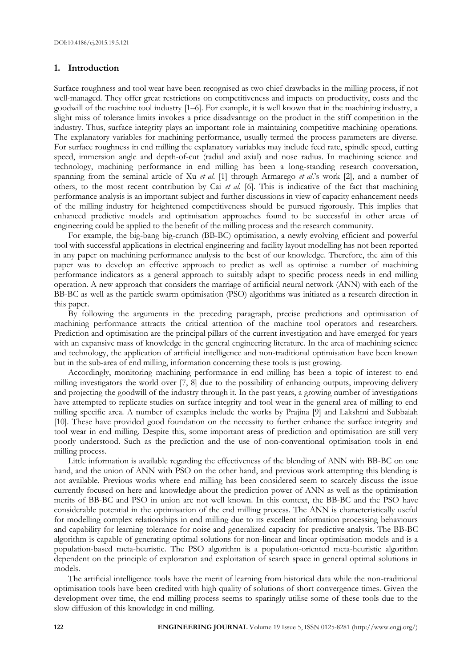# **1. Introduction**

Surface roughness and tool wear have been recognised as two chief drawbacks in the milling process, if not well-managed. They offer great restrictions on competitiveness and impacts on productivity, costs and the goodwill of the machine tool industry [1–6]. For example, it is well known that in the machining industry, a slight miss of tolerance limits invokes a price disadvantage on the product in the stiff competition in the industry. Thus, surface integrity plays an important role in maintaining competitive machining operations. The explanatory variables for machining performance, usually termed the process parameters are diverse. For surface roughness in end milling the explanatory variables may include feed rate, spindle speed, cutting speed, immersion angle and depth-of-cut (radial and axial) and nose radius. In machining science and technology, machining performance in end milling has been a long-standing research conversation, spanning from the seminal article of Xu *et al*. [1] through Armarego *et al*.'s work [2], and a number of others, to the most recent contribution by Cai *et al*. [6]. This is indicative of the fact that machining performance analysis is an important subject and further discussions in view of capacity enhancement needs of the milling industry for heightened competitiveness should be pursued rigorously. This implies that enhanced predictive models and optimisation approaches found to be successful in other areas of engineering could be applied to the benefit of the milling process and the research community.

For example, the big-bang big-crunch (BB-BC) optimisation, a newly evolving efficient and powerful tool with successful applications in electrical engineering and facility layout modelling has not been reported in any paper on machining performance analysis to the best of our knowledge. Therefore, the aim of this paper was to develop an effective approach to predict as well as optimise a number of machining performance indicators as a general approach to suitably adapt to specific process needs in end milling operation. A new approach that considers the marriage of artificial neural network (ANN) with each of the BB-BC as well as the particle swarm optimisation (PSO) algorithms was initiated as a research direction in this paper.

By following the arguments in the preceding paragraph, precise predictions and optimisation of machining performance attracts the critical attention of the machine tool operators and researchers. Prediction and optimisation are the principal pillars of the current investigation and have emerged for years with an expansive mass of knowledge in the general engineering literature. In the area of machining science and technology, the application of artificial intelligence and non-traditional optimisation have been known but in the sub-area of end milling, information concerning these tools is just growing.

Accordingly, monitoring machining performance in end milling has been a topic of interest to end milling investigators the world over [7, 8] due to the possibility of enhancing outputs, improving delivery and projecting the goodwill of the industry through it. In the past years, a growing number of investigations have attempted to replicate studies on surface integrity and tool wear in the general area of milling to end milling specific area. A number of examples include the works by Prajina [9] and Lakshmi and Subbaiah [10]. These have provided good foundation on the necessity to further enhance the surface integrity and tool wear in end milling. Despite this, some important areas of prediction and optimisation are still very poorly understood. Such as the prediction and the use of non-conventional optimisation tools in end milling process.

Little information is available regarding the effectiveness of the blending of ANN with BB-BC on one hand, and the union of ANN with PSO on the other hand, and previous work attempting this blending is not available. Previous works where end milling has been considered seem to scarcely discuss the issue currently focused on here and knowledge about the prediction power of ANN as well as the optimisation merits of BB-BC and PSO in union are not well known. In this context, the BB-BC and the PSO have considerable potential in the optimisation of the end milling process. The ANN is characteristically useful for modelling complex relationships in end milling due to its excellent information processing behaviours and capability for learning tolerance for noise and generalized capacity for predictive analysis. The BB-BC algorithm is capable of generating optimal solutions for non-linear and linear optimisation models and is a population-based meta-heuristic. The PSO algorithm is a population-oriented meta-heuristic algorithm dependent on the principle of exploration and exploitation of search space in general optimal solutions in models.

The artificial intelligence tools have the merit of learning from historical data while the non-traditional optimisation tools have been credited with high quality of solutions of short convergence times. Given the development over time, the end milling process seems to sparingly utilise some of these tools due to the slow diffusion of this knowledge in end milling.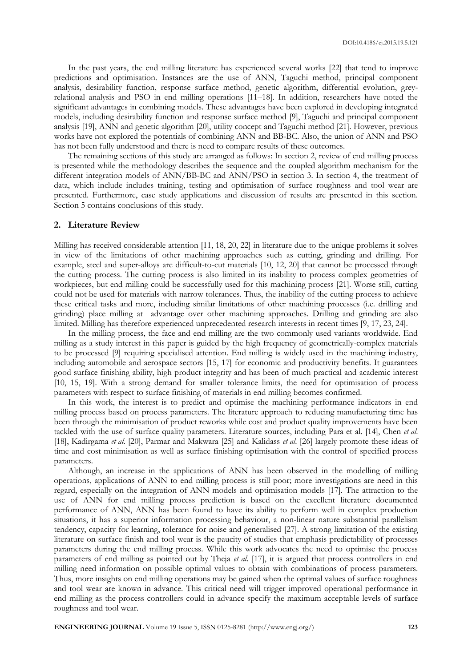In the past years, the end milling literature has experienced several works [22] that tend to improve predictions and optimisation. Instances are the use of ANN, Taguchi method, principal component analysis, desirability function, response surface method, genetic algorithm, differential evolution, greyrelational analysis and PSO in end milling operations [11–18]. In addition, researchers have noted the significant advantages in combining models. These advantages have been explored in developing integrated models, including desirability function and response surface method [9], Taguchi and principal component analysis [19], ANN and genetic algorithm [20], utility concept and Taguchi method [21]. However, previous works have not explored the potentials of combining ANN and BB-BC. Also, the union of ANN and PSO has not been fully understood and there is need to compare results of these outcomes.

The remaining sections of this study are arranged as follows: In section 2, review of end milling process is presented while the methodology describes the sequence and the coupled algorithm mechanism for the different integration models of ANN/BB-BC and ANN/PSO in section 3. In section 4, the treatment of data, which include includes training, testing and optimisation of surface roughness and tool wear are presented. Furthermore, case study applications and discussion of results are presented in this section. Section 5 contains conclusions of this study.

# **2. Literature Review**

Milling has received considerable attention [11, 18, 20, 22] in literature due to the unique problems it solves in view of the limitations of other machining approaches such as cutting, grinding and drilling. For example, steel and super-alloys are difficult-to-cut materials [10, 12, 20] that cannot be processed through the cutting process. The cutting process is also limited in its inability to process complex geometries of workpieces, but end milling could be successfully used for this machining process [21]. Worse still, cutting could not be used for materials with narrow tolerances. Thus, the inability of the cutting process to achieve these critical tasks and more, including similar limitations of other machining processes (i.e. drilling and grinding) place milling at advantage over other machining approaches. Drilling and grinding are also limited. Milling has therefore experienced unprecedented research interests in recent times [9, 17, 23, 24].

In the milling process, the face and end milling are the two commonly used variants worldwide. End milling as a study interest in this paper is guided by the high frequency of geometrically-complex materials to be processed [9] requiring specialised attention. End milling is widely used in the machining industry, including automobile and aerospace sectors [15, 17] for economic and productivity benefits. It guarantees good surface finishing ability, high product integrity and has been of much practical and academic interest [10, 15, 19]. With a strong demand for smaller tolerance limits, the need for optimisation of process parameters with respect to surface finishing of materials in end milling becomes confirmed.

In this work, the interest is to predict and optimise the machining performance indicators in end milling process based on process parameters. The literature approach to reducing manufacturing time has been through the minimisation of product reworks while cost and product quality improvements have been tackled with the use of surface quality parameters. Literature sources, including Para et al. [14], Chen *et al*. [18], Kadirgama *et al*. [20], Parmar and Makwara [25] and Kalidass *et al*. [26] largely promote these ideas of time and cost minimisation as well as surface finishing optimisation with the control of specified process parameters.

Although, an increase in the applications of ANN has been observed in the modelling of milling operations, applications of ANN to end milling process is still poor; more investigations are need in this regard, especially on the integration of ANN models and optimisation models [17]. The attraction to the use of ANN for end milling process prediction is based on the excellent literature documented performance of ANN, ANN has been found to have its ability to perform well in complex production situations, it has a superior information processing behaviour, a non-linear nature substantial parallelism tendency, capacity for learning, tolerance for noise and generalised [27]. A strong limitation of the existing literature on surface finish and tool wear is the paucity of studies that emphasis predictability of processes parameters during the end milling process. While this work advocates the need to optimise the process parameters of end milling as pointed out by Theja *et al*. [17], it is argued that process controllers in end milling need information on possible optimal values to obtain with combinations of process parameters. Thus, more insights on end milling operations may be gained when the optimal values of surface roughness and tool wear are known in advance. This critical need will trigger improved operational performance in end milling as the process controllers could in advance specify the maximum acceptable levels of surface roughness and tool wear.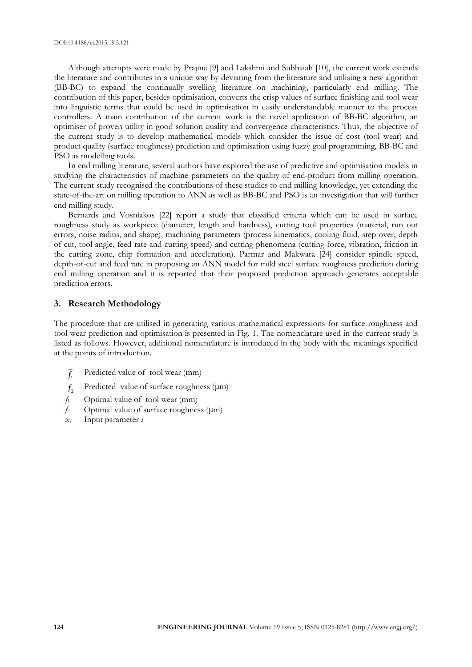Although attempts were made by Prajina [9] and Lakshmi and Subbaiah [10], the current work extends the literature and contributes in a unique way by deviating from the literature and utilising a new algorithm (BB-BC) to expand the continually swelling literature on machining, particularly end milling. The contribution of this paper, besides optimisation, converts the crisp values of surface finishing and tool wear into linguistic terms that could be used in optimisation in easily understandable manner to the process controllers. A main contribution of the current work is the novel application of BB-BC algorithm, an optimiser of proven utility in good solution quality and convergence characteristics. Thus, the objective of the current study is to develop mathematical models which consider the issue of cost (tool wear) and product quality (surface roughness) prediction and optimisation using fuzzy goal programming, BB-BC and PSO as modelling tools.

In end milling literature, several authors have explored the use of predictive and optimisation models in studying the characteristics of machine parameters on the quality of end-product from milling operation. The current study recognised the contributions of these studies to end milling knowledge, yet extending the state-of-the-art on milling operation to ANN as well as BB-BC and PSO is an investigation that will further end milling study.

Bernards and Vosniakos [22] report a study that classified criteria which can be used in surface roughness study as workpiece (diameter, length and hardness), cutting tool properties (material, run out errors, noise radius, and shape), machining parameters (process kinematics, cooling fluid, step over, depth of cut, tool angle, feed rate and cutting speed) and cutting phenomena (cutting force, vibration, friction in the cutting zone, chip formation and acceleration). Parmar and Makwara [24] consider spindle speed, depth-of-cut and feed rate in proposing an ANN model for mild steel surface roughness prediction during end milling operation and it is reported that their proposed prediction approach generates acceptable prediction errors.

#### **3. Research Methodology**

The procedure that are utilised in generating various mathematical expressions for surface roughness and tool wear prediction and optimisation is presented in Fig. 1. The nomenclature used in the current study is listed as follows. However, additional nomenclature is introduced in the body with the meanings specified at the points of introduction.

- $f_1$ Predicted value of tool wear (mm)
- $f<sub>2</sub>$ Predicted value of surface roughness (μm)
- *f*<sup>1</sup> Optimal value of tool wear (mm)
- *f*<sup>2</sup> Optimal value of surface roughness (μm)
- *x<sup>i</sup>* Input parameter *i*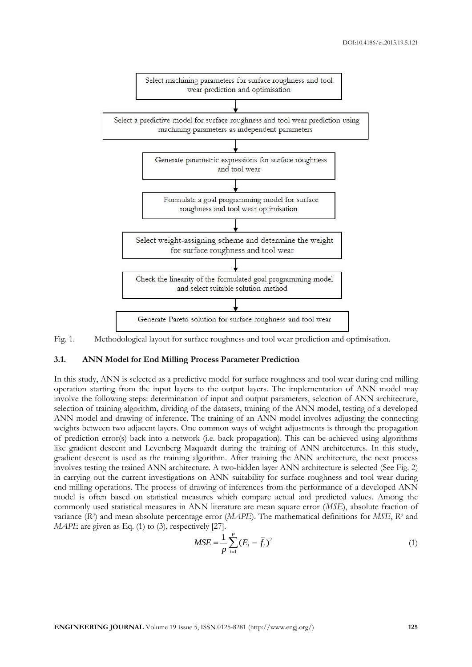

Fig. 1. Methodological layout for surface roughness and tool wear prediction and optimisation.

#### **3.1. ANN Model for End Milling Process Parameter Prediction**

In this study, ANN is selected as a predictive model for surface roughness and tool wear during end milling operation starting from the input layers to the output layers. The implementation of ANN model may involve the following steps: determination of input and output parameters, selection of ANN architecture, selection of training algorithm, dividing of the datasets, training of the ANN model, testing of a developed ANN model and drawing of inference. The training of an ANN model involves adjusting the connecting weights between two adjacent layers. One common ways of weight adjustments is through the propagation of prediction error(s) back into a network (i.e. back propagation). This can be achieved using algorithms like gradient descent and Levenberg Maquardt during the training of ANN architectures. In this study, gradient descent is used as the training algorithm. After training the ANN architecture, the next process involves testing the trained ANN architecture. A two-hidden layer ANN architecture is selected (See Fig. 2) in carrying out the current investigations on ANN suitability for surface roughness and tool wear during end milling operations. The process of drawing of inferences from the performance of a developed ANN model is often based on statistical measures which compare actual and predicted values. Among the commonly used statistical measures in ANN literature are mean square error (*MSE*), absolute fraction of variance (*R<sup>2</sup>* ) and mean absolute percentage error (*MAPE*). The mathematical definitions for *MSE*, *R<sup>2</sup>* and *MAPE* are given as Eq. (1) to (3), respectively [27].

$$
MSE = \frac{1}{p} \sum_{i=1}^{p} (E_i - \overline{f}_i)^2
$$
 (1)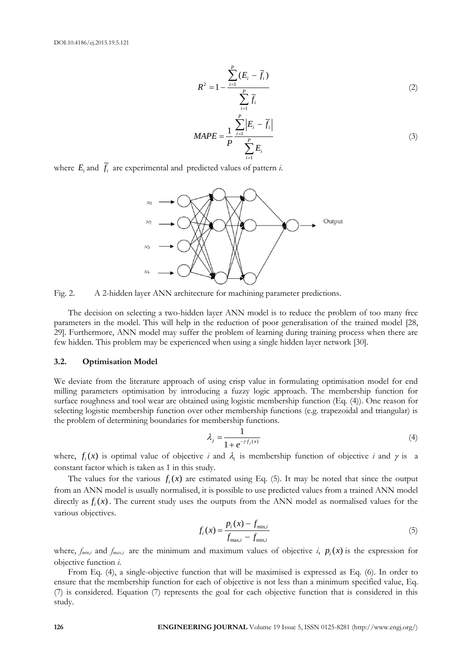$$
R^{2} = 1 - \frac{\sum_{i=1}^{P} (E_{i} - \overline{f}_{i})}{\sum_{i=1}^{P} \overline{f}_{i}}
$$
 (2)

$$
MAPE = \frac{1}{P} \frac{\sum_{i=1}^{P} |E_i - \overline{f}_i|}{\sum_{i=1}^{P} E_i}
$$
 (3)

where  $E_i$  and  $f_i$  are experimental and predicted values of pattern *i*.



Fig. 2. A 2-hidden layer ANN architecture for machining parameter predictions.

The decision on selecting a two-hidden layer ANN model is to reduce the problem of too many free parameters in the model. This will help in the reduction of poor generalisation of the trained model [28, 29]. Furthermore, ANN model may suffer the problem of learning during training process when there are few hidden. This problem may be experienced when using a single hidden layer network [30].

#### **3.2. Optimisation Model**

We deviate from the literature approach of using crisp value in formulating optimisation model for end milling parameters optimisation by introducing a fuzzy logic approach. The membership function for surface roughness and tool wear are obtained using logistic membership function (Eq. (4)). One reason for selecting logistic membership function over other membership functions (e.g. trapezoidal and triangular) is the problem of determining boundaries for membership functions.

$$
\lambda_j = \frac{1}{1 + e^{-\gamma f_j(x)}}\tag{4}
$$

where,  $f_i(x)$  is optimal value of objective *i* and  $\lambda_i$  is membership function of objective *i* and  $\gamma$  is a constant factor which is taken as 1 in this study.

The values for the various  $f_i(x)$  are estimated using Eq. (5). It may be noted that since the output from an ANN model is usually normalised, it is possible to use predicted values from a trained ANN model directly as  $f_i(x)$ . The current study uses the outputs from the ANN model as normalised values for the various objectives.

$$
f_i(x) = \frac{p_i(x) - f_{\min,i}}{f_{\max,i} - f_{\min,i}}
$$
(5)

where,  $f_{min,i}$  and  $f_{max,i}$  are the minimum and maximum values of objective *i*,  $p_i(x)$  is the expression for objective function *i*.

From Eq. (4), a single-objective function that will be maximised is expressed as Eq. (6). In order to ensure that the membership function for each of objective is not less than a minimum specified value, Eq. (7) is considered. Equation (7) represents the goal for each objective function that is considered in this study.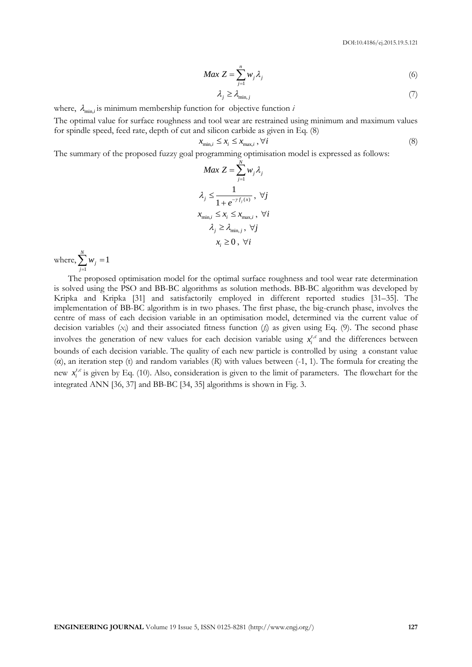$$
Max Z = \sum_{j=1}^{n} w_j \lambda_j
$$
 (6)

$$
\lambda_j \ge \lambda_{\min,j} \tag{7}
$$

where,  $\lambda_{\min,i}$  is minimum membership function for objective function  $i$ 

The optimal value for surface roughness and tool wear are restrained using minimum and maximum values for spindle speed, feed rate, depth of cut and silicon carbide as given in Eq. (8)

$$
x_{\min,i} \le x_i \le x_{\max,i}, \forall i \tag{8}
$$

The summary of the proposed fuzzy goal programming optimisation model is expressed as follows:

$$
Max Z = \sum_{j=1}^{N} w_j \lambda_j
$$
  

$$
\lambda_j \le \frac{1}{1 + e^{-\gamma f_j(x)}}, \forall j
$$
  

$$
x_{\min,i} \le x_i \le x_{\max,i}, \forall i
$$
  

$$
\lambda_j \ge \lambda_{\min,j}, \forall j
$$
  

$$
x_i \ge 0, \forall i
$$

where, 1  $\sum_{i=1}^{N} w_i = 1$  $\sum_{j=1}^{\infty}$   $W_j$ *w*  $\sum_{j=1} w_j =$ 

The proposed optimisation model for the optimal surface roughness and tool wear rate determination is solved using the PSO and BB-BC algorithms as solution methods. BB-BC algorithm was developed by Kripka and Kripka [31] and satisfactorily employed in different reported studies [31–35]. The implementation of BB-BC algorithm is in two phases. The first phase, the big-crunch phase, involves the centre of mass of each decision variable in an optimisation model, determined via the current value of decision variables  $(x_i)$  and their associated fitness function  $(f_i)$  as given using Eq. (9). The second phase involves the generation of new values for each decision variable using  $x_i^{t,c}$  and the differences between bounds of each decision variable. The quality of each new particle is controlled by using a constant value (*α*), an iteration step (t) and random variables (*R*) with values between (-1, 1). The formula for creating the new  $x_i^{t,c}$  is given by Eq. (10). Also, consideration is given to the limit of parameters. The flowchart for the integrated ANN [36, 37] and BB-BC [34, 35] algorithms is shown in Fig. 3.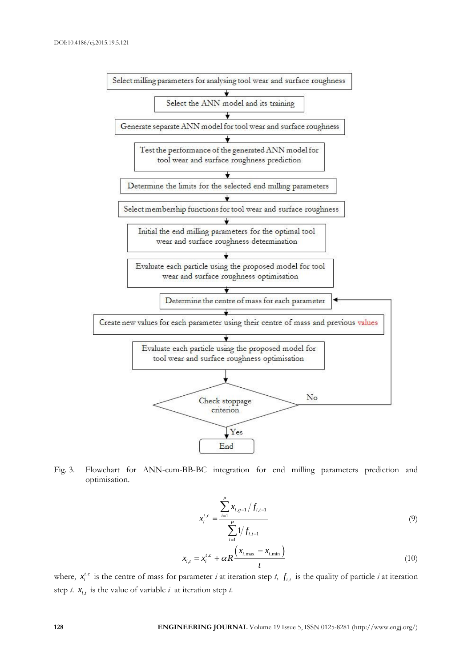

Fig. 3. Flowchart for ANN-cum-BB-BC integration for end milling parameters prediction and optimisation.

$$
x_i^{t,c} = \frac{\sum_{i=1}^P x_{i,g-1} / f_{i,t-1}}{\sum_{i=1}^P 1 / f_{i,t-1}}
$$
  

$$
x_{i,t} = x_i^{t,c} + \alpha R \frac{\left(x_{i,\text{max}} - x_{i,\text{min}}\right)}{t}
$$
 (10)

where,  $x_i^{t,c}$  is the centre of mass for parameter *i* at iteration step *t*,  $f_{i,t}$  is the quality of particle *i* at iteration step *t*.  $x_{i,t}$  is the value of variable *i* at iteration step *t*.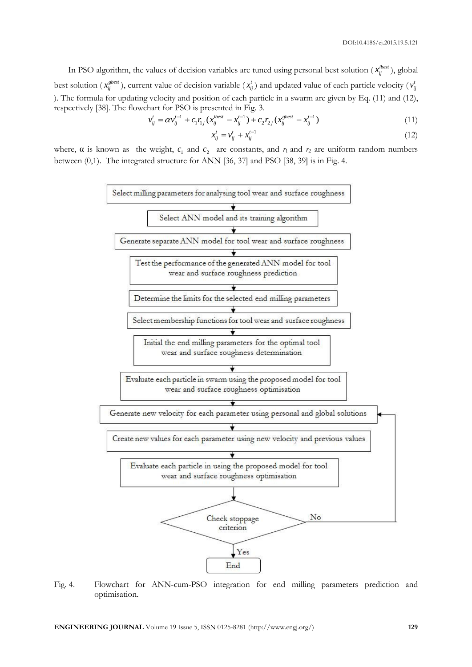In PSO algorithm, the values of decision variables are tuned using personal best solution  $(x_{ij}^{lbest})$ , global best solution ( $x_{ij}^{gbest}$ ), current value of decision variable ( $x_{ij}^t$ ) and updated value of each particle velocity ( $v_{ij}^t$ ). The formula for updating velocity and position of each particle in a swarm are given by Eq. (11) and (12), respectively [38]. The flowchart for PSO is presented in Fig. 3.<br>  $v_{ij}^t = \alpha v_{ij}^{t-1} + c_1 r_{1j} (x_{ij}^{lbest} - x_{ij}^{t-1}) + c_2 r_{2j} (x_{ij}^{sbest} - x_{ij}^{t-1})$ 

$$
v_{ij}^t = \alpha v_{ij}^{t-1} + c_1 r_{1j} (x_{ij}^{best} - x_{ij}^{t-1}) + c_2 r_{2j} (x_{ij}^{sbest} - x_{ij}^{t-1})
$$
\n(11)

$$
x_{ij}^t = v_{ij}^t + x_{ij}^{t-1}
$$
 (12)

where,  $\alpha$  is known as the weight,  $c_1$  and  $c_2$  are constants, and  $r_1$  and  $r_2$  are uniform random numbers between (0,1). The integrated structure for ANN [36, 37] and PSO [38, 39] is in Fig. 4.



Fig. 4. Flowchart for ANN-cum-PSO integration for end milling parameters prediction and optimisation.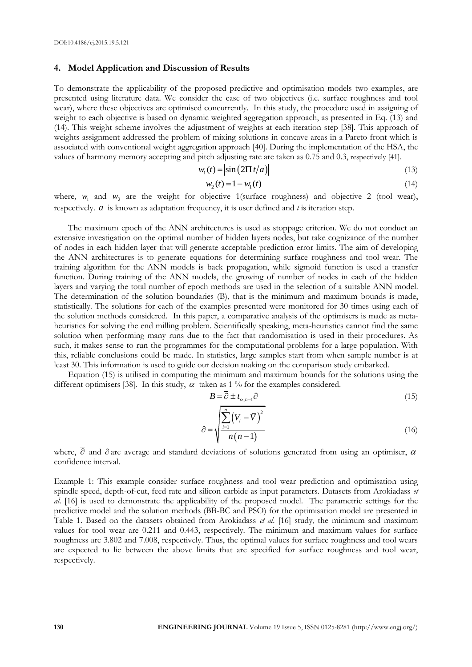#### **4. Model Application and Discussion of Results**

To demonstrate the applicability of the proposed predictive and optimisation models two examples, are presented using literature data. We consider the case of two objectives (i.e. surface roughness and tool wear), where these objectives are optimised concurrently. In this study, the procedure used in assigning of weight to each objective is based on dynamic weighted aggregation approach, as presented in Eq. (13) and (14). This weight scheme involves the adjustment of weights at each iteration step [38]. This approach of weights assignment addressed the problem of mixing solutions in concave areas in a Pareto front which is associated with conventional weight aggregation approach [40]. During the implementation of the HSA, the values of harmony memory accepting and pitch adjusting rate are taken as 0.75 and 0.3, respectively [41].

$$
w_1(t) = \left| \sin \left( 2 \Pi t / a \right) \right| \tag{13}
$$

$$
w_2(t) = 1 - w_1(t) \tag{14}
$$

where,  $w_1$  and  $w_2$  are the weight for objective 1(surface roughness) and objective 2 (tool wear), respectively. *a* is known as adaptation frequency, it is user defined and *t* is iteration step.

The maximum epoch of the ANN architectures is used as stoppage criterion. We do not conduct an extensive investigation on the optimal number of hidden layers nodes, but take cognizance of the number of nodes in each hidden layer that will generate acceptable prediction error limits. The aim of developing the ANN architectures is to generate equations for determining surface roughness and tool wear. The training algorithm for the ANN models is back propagation, while sigmoid function is used a transfer function. During training of the ANN models, the growing of number of nodes in each of the hidden layers and varying the total number of epoch methods are used in the selection of a suitable ANN model. The determination of the solution boundaries (B), that is the minimum and maximum bounds is made, statistically. The solutions for each of the examples presented were monitored for 30 times using each of the solution methods considered. In this paper, a comparative analysis of the optimisers is made as metaheuristics for solving the end milling problem. Scientifically speaking, meta-heuristics cannot find the same solution when performing many runs due to the fact that randomisation is used in their procedures. As such, it makes sense to run the programmes for the computational problems for a large population. With this, reliable conclusions could be made. In statistics, large samples start from when sample number is at least 30. This information is used to guide our decision making on the comparison study embarked.

Equation (15) is utilised in computing the minimum and maximum bounds for the solutions using the different optimisers [38]. In this study,  $\alpha$  taken as 1 % for the examples considered.

$$
B = \overline{\partial} \pm t_{\alpha, n-1} \partial \tag{15}
$$

$$
\partial = \sqrt{\frac{\sum_{i=1}^{n} (V_i - \overline{V})^2}{n(n-1)}}
$$
\n(16)

where,  $\overline{\partial}$  and  $\partial$  are average and standard deviations of solutions generated from using an optimiser,  $\alpha$ confidence interval.

Example 1: This example consider surface roughness and tool wear prediction and optimisation using spindle speed, depth-of-cut, feed rate and silicon carbide as input parameters. Datasets from Arokiadass *et al*. [16] is used to demonstrate the applicability of the proposed model. The parametric settings for the predictive model and the solution methods (BB-BC and PSO) for the optimisation model are presented in Table 1. Based on the datasets obtained from Arokiadass *et al*. [16] study, the minimum and maximum values for tool wear are 0.211 and 0.443, respectively. The minimum and maximum values for surface roughness are 3.802 and 7.008, respectively. Thus, the optimal values for surface roughness and tool wears are expected to lie between the above limits that are specified for surface roughness and tool wear, respectively.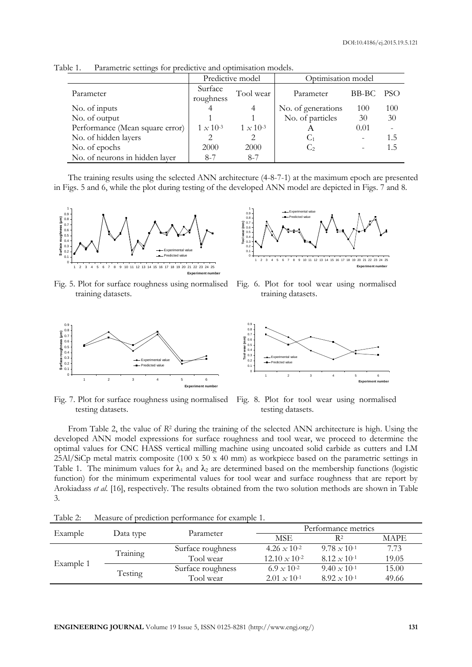|                                 |                      | Predictive model   | Optimisation model |       |      |
|---------------------------------|----------------------|--------------------|--------------------|-------|------|
| Parameter                       | Surface<br>roughness | Tool wear          | Parameter          | BB-BC | PSO. |
| No. of inputs                   |                      |                    | No. of generations | 100   | 100  |
| No. of output                   |                      |                    | No. of particles   | 30    | 30   |
| Performance (Mean square error) | $1 \times 10^{-3}$   | $1 \times 10^{-3}$ | A                  | 0.01  |      |
| No. of hidden layers            |                      |                    | C1                 |       | 1.5  |
| No. of epochs                   | 2000                 | 2000               | $\mathcal{C}_2$    |       | 1.5  |
| No. of neurons in hidden layer  | $8 - 7$              | $8 - 7$            |                    |       |      |

Table 1. Parametric settings for predictive and optimisation models.

The training results using the selected ANN architecture (4-8-7-1) at the maximum epoch are presented in Figs. 5 and 6, while the plot during testing of the developed ANN model are depicted in Figs. 7 and 8.



Fig. 5. Plot for surface roughness using normalised training datasets.



Fig. 6. Plot for tool wear using normalised training datasets.



Fig. 7. Plot for surface roughness using normalised testing datasets.



Fig. 8. Plot for tool wear using normalised testing datasets.

From Table 2, the value of *R*<sup>2</sup> during the training of the selected ANN architecture is high. Using the developed ANN model expressions for surface roughness and tool wear, we proceed to determine the optimal values for CNC HASS vertical milling machine using uncoated solid carbide as cutters and LM 25Al/SiCp metal matrix composite (100 x 50 x 40 mm) as workpiece based on the parametric settings in Table 1. The minimum values for  $\lambda_1$  and  $\lambda_2$  are determined based on the membership functions (logistic function) for the minimum experimental values for tool wear and surface roughness that are report by Arokiadass *et al*. [16], respectively. The results obtained from the two solution methods are shown in Table 3.

|           |           | THROW WILD OIL DIDGED MOIN D'OILOISINGIDO IOIL OINVISINATO IN |                                |                       |             |  |  |
|-----------|-----------|---------------------------------------------------------------|--------------------------------|-----------------------|-------------|--|--|
|           |           |                                                               |                                | Performance metrics   |             |  |  |
| Example   | Data type | Parameter                                                     | MSE.                           | R2                    | <b>MAPE</b> |  |  |
| Example 1 |           | Surface roughness                                             | 4.26 $\times$ 10 <sup>-2</sup> | $9.78 \times 10^{-1}$ | 7.73        |  |  |
|           | Training  | Tool wear                                                     | $12.10 \times 10^{-2}$         | $8.12 \times 10^{-1}$ | 19.05       |  |  |
|           |           | Surface roughness                                             | 6.9 $\times$ 10 <sup>-2</sup>  | $9.40 \times 10^{-1}$ | 15.00       |  |  |
|           |           | Testing<br>Tool wear                                          | $2.01 \times 10^{-1}$          | $8.92 \times 10^{-1}$ | 49.66       |  |  |
|           |           |                                                               |                                |                       |             |  |  |

Table 2: Measure of prediction performance for example 1.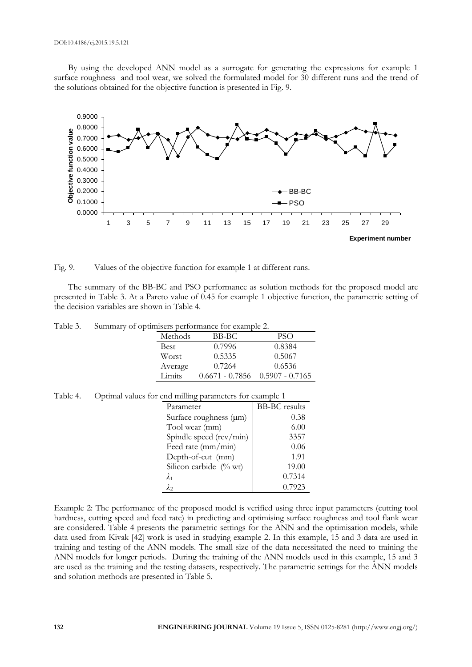By using the developed ANN model as a surrogate for generating the expressions for example 1 surface roughness and tool wear, we solved the formulated model for 30 different runs and the trend of the solutions obtained for the objective function is presented in Fig. 9.



Fig. 9. Values of the objective function for example 1 at different runs.

The summary of the BB-BC and PSO performance as solution methods for the proposed model are presented in Table 3. At a Pareto value of 0.45 for example 1 objective function, the parametric setting of the decision variables are shown in Table 4.

| Table 3. | Summary of optimisers performance for example 2. |                                     |        |  |
|----------|--------------------------------------------------|-------------------------------------|--------|--|
|          | Methods                                          | BB-BC                               | PSO    |  |
|          | Best                                             | 0.7996                              | 0.8384 |  |
|          | Worst                                            | 0.5335                              | 0.5067 |  |
|          | Average                                          | 0.7264                              | 0.6536 |  |
|          | Limits                                           | $0.6671 - 0.7856$ $0.5907 - 0.7165$ |        |  |

#### Table 4. Optimal values for end milling parameters for example 1

| Parameter                   | <b>BB-BC</b> results |
|-----------------------------|----------------------|
| Surface roughness $(\mu m)$ | 0.38                 |
| Tool wear (mm)              | 6.00                 |
| Spindle speed $(rev/min)$   | 3357                 |
| Feed rate (mm/min)          | 0.06                 |
| Depth-of-cut (mm)           | 1.91                 |
| Silicon carbide (% wt)      | 19.00                |
| $\lambda_1$                 | 0.7314               |
| $\lambda_2$                 | 0.7923               |

Example 2: The performance of the proposed model is verified using three input parameters (cutting tool hardness, cutting speed and feed rate) in predicting and optimising surface roughness and tool flank wear are considered. Table 4 presents the parametric settings for the ANN and the optimisation models, while data used from Kivak [42] work is used in studying example 2. In this example, 15 and 3 data are used in training and testing of the ANN models. The small size of the data necessitated the need to training the ANN models for longer periods. During the training of the ANN models used in this example, 15 and 3 are used as the training and the testing datasets, respectively. The parametric settings for the ANN models and solution methods are presented in Table 5.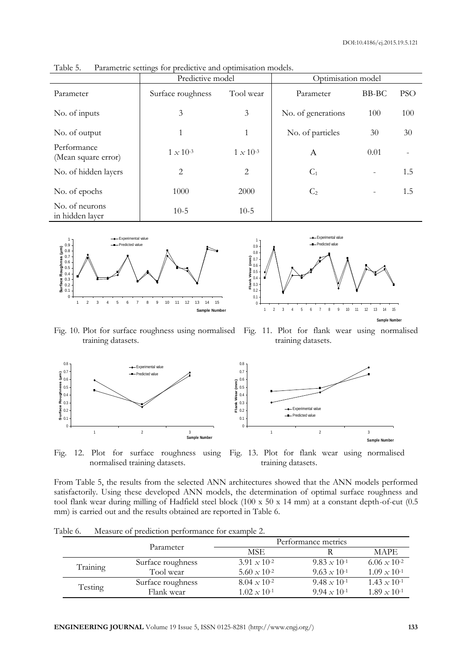**Sample Number** 

| $\sigma$                           |                    |                    |                    |       |            |  |  |
|------------------------------------|--------------------|--------------------|--------------------|-------|------------|--|--|
|                                    | Predictive model   |                    | Optimisation model |       |            |  |  |
| Parameter                          | Surface roughness  | Tool wear          | Parameter          | BB-BC | <b>PSO</b> |  |  |
| No. of inputs                      | 3                  | 3                  | No. of generations | 100   | 100        |  |  |
| No. of output                      | 1                  | 1                  | No. of particles   | 30    | 30         |  |  |
| Performance<br>(Mean square error) | $1 \times 10^{-3}$ | $1 \times 10^{-3}$ | A                  | 0.01  |            |  |  |
| No. of hidden layers               | $\overline{2}$     | $\overline{2}$     | $C_1$              |       | 1.5        |  |  |
| No. of epochs                      | 1000               | 2000               | C <sub>2</sub>     |       | 1.5        |  |  |
| No. of neurons<br>in hidden layer  | $10-5$             | $10-5$             |                    |       |            |  |  |

Table 5. Parametric settings for predictive and optimisation models.



Fig. 10. Plot for surface roughness using normalised training datasets. Fig. 11. Plot for flank wear using normalised training datasets.



Fig. 12. Plot for surface roughness using Fig. 13. Plot for flank wear using normalised normalised training datasets. training datasets.

From Table 5, the results from the selected ANN architectures showed that the ANN models performed satisfactorily. Using these developed ANN models, the determination of optimal surface roughness and tool flank wear during milling of Hadfield steel block (100 x 50 x 14 mm) at a constant depth-of-cut (0.5 mm) is carried out and the results obtained are reported in Table 6.

|          |                   | Performance metrics   |                       |                       |  |
|----------|-------------------|-----------------------|-----------------------|-----------------------|--|
|          | Parameter         | <b>MSE</b>            |                       | <b>MAPE</b>           |  |
|          | Surface roughness | $3.91 \times 10^{-2}$ | $9.83 \times 10^{-1}$ | $6.06 \times 10^{-2}$ |  |
| Training | Tool wear         | $5.60 \times 10^{-2}$ | $9.63 \times 10^{-1}$ | $1.09 \times 10^{-1}$ |  |
|          | Surface roughness | $8.04 \times 10^{-2}$ | $9.48 \times 10^{-1}$ | $1.43 \times 10^{-1}$ |  |
| Testing  | Flank wear        | $1.02 \times 10^{-1}$ | $9.94 \times 10^{-1}$ | $1.89 \times 10^{-1}$ |  |

Table 6. Measure of prediction performance for example 2.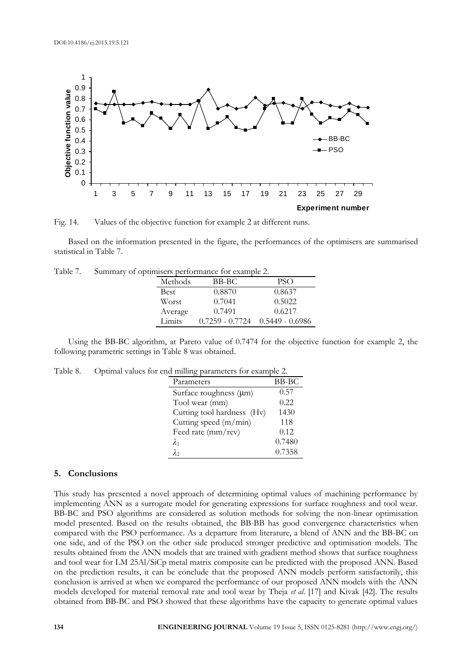

Fig. 14. Values of the objective function for example 2 at different runs.

Based on the information presented in the figure, the performances of the optimisers are summarised statistical in Table 7.

|         | pullinsels performance for example 2. |                   |
|---------|---------------------------------------|-------------------|
| Methods | BB-BC                                 | <b>PSO</b>        |
| Best    | 0.8870                                | 0.8637            |
| Worst   | 0.7041                                | 0.5022            |
| Average | 0.7491                                | 0.6217            |
| Limits  | $0.7259 - 0.7724$                     | $0.5449 - 0.6986$ |

Table 7. Summary of optimisers performance for example 2.

Using the BB-BC algorithm, at Pareto value of 0.7474 for the objective function for example 2, the following parametric settings in Table 8 was obtained.

|  |  | Table 8. Optimal values for end milling parameters for example 2. |  |
|--|--|-------------------------------------------------------------------|--|
|  |  |                                                                   |  |

| Parameters                 | BB-BC  |
|----------------------------|--------|
| Surface roughness (µm)     | 0.57   |
| Tool wear (mm)             | 0.22   |
| Cutting tool hardness (Hv) | 1430   |
| Cutting speed (m/min)      | 118    |
| Feed rate (mm/rev)         | 0.12   |
| $\lambda_1$                | 0.7480 |
| λэ                         | 0.7358 |

# **5. Conclusions**

This study has presented a novel approach of determining optimal values of machining performance by implementing ANN as a surrogate model for generating expressions for surface roughness and tool wear. BB-BC and PSO algorithms are considered as solution methods for solving the non-linear optimisation model presented. Based on the results obtained, the BB-BB has good convergence characteristics when compared with the PSO performance. As a departure from literature, a blend of ANN and the BB-BC on one side, and of the PSO on the other side produced stronger predictive and optimisation models. The results obtained from the ANN models that are trained with gradient method shows that surface roughness and tool wear for LM 25Al/SiCp metal matrix composite can be predicted with the proposed ANN. Based on the prediction results, it can be conclude that the proposed ANN models perform satisfactorily, this conclusion is arrived at when we compared the performance of our proposed ANN models with the ANN models developed for material removal rate and tool wear by Theja *et al*. [17] and Kivak [42]. The results obtained from BB-BC and PSO showed that these algorithms have the capacity to generate optimal values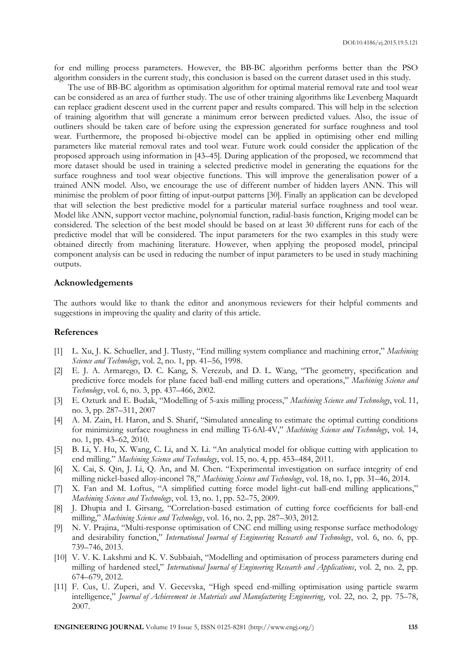for end milling process parameters. However, the BB-BC algorithm performs better than the PSO algorithm considers in the current study, this conclusion is based on the current dataset used in this study.

The use of BB-BC algorithm as optimisation algorithm for optimal material removal rate and tool wear can be considered as an area of further study. The use of other training algorithms like Levenberg Maquardt can replace gradient descent used in the current paper and results compared. This will help in the selection of training algorithm that will generate a minimum error between predicted values. Also, the issue of outliners should be taken care of before using the expression generated for surface roughness and tool wear. Furthermore, the proposed bi-objective model can be applied in optimising other end milling parameters like material removal rates and tool wear. Future work could consider the application of the proposed approach using information in [43–45]. During application of the proposed, we recommend that more dataset should be used in training a selected predictive model in generating the equations for the surface roughness and tool wear objective functions. This will improve the generalisation power of a trained ANN model. Also, we encourage the use of different number of hidden layers ANN. This will minimise the problem of poor fitting of input-output patterns [30]. Finally an application can be developed that will selection the best predictive model for a particular material surface roughness and tool wear. Model like ANN, support vector machine, polynomial function, radial-basis function, Kriging model can be considered. The selection of the best model should be based on at least 30 different runs for each of the predictive model that will be considered. The input parameters for the two examples in this study were obtained directly from machining literature. However, when applying the proposed model, principal component analysis can be used in reducing the number of input parameters to be used in study machining outputs.

# **Acknowledgements**

The authors would like to thank the editor and anonymous reviewers for their helpful comments and suggestions in improving the quality and clarity of this article.

# **References**

- [1] L. Xu, J. K. Schueller, and J. Tlusty, "End milling system compliance and machining error," *Machining Science and Technology*, vol. 2, no. 1, pp. 41–56, 1998.
- [2] E. J. A. Armarego, D. C. Kang, S. Verezub, and D. L. Wang, "The geometry, specification and predictive force models for plane faced ball-end milling cutters and operations," *Machining Science and Technology*, vol. 6, no. 3, pp. 437–466, 2002.
- [3] E. Ozturk and E. Budak, "Modelling of 5-axis milling process," *Machining Science and Technology*, vol. 11, no. 3, pp. 287–311, 2007
- [4] A. M. Zain, H. Haron, and S. Sharif, "Simulated annealing to estimate the optimal cutting conditions for minimizing surface roughness in end milling Ti-6Al-4V," *Machining Science and Technology*, vol. 14, no. 1, pp. 43–62, 2010.
- [5] B. Li, Y. Hu, X. Wang, C. Li, and X. Li. "An analytical model for oblique cutting with application to end milling." *Machining Science and Technology*, vol. 15, no. 4, pp. 453–484, 2011.
- [6] X. Cai, S. Qin, J. Li, Q. An, and M. Chen. "Experimental investigation on surface integrity of end milling nickel-based alloy-inconel 78," *Machining Science and Technology*, vol. 18, no. 1, pp. 31–46, 2014.
- [7] X. Fan and M. Loftus, "A simplified cutting force model light-cut ball-end milling applications," *Machining Science and Technology*, vol. 13, no. 1, pp. 52–75, 2009.
- [8] J. Dhupia and I. Girsang, "Correlation-based estimation of cutting force coefficients for ball-end milling," *Machining Science and Technology*, vol. 16, no. 2, pp. 287–303, 2012.
- [9] N. V. Prajina, "Multi-response optimisation of CNC end milling using response surface methodology and desirability function," *International Journal of Engineering Research and Technology*, vol. 6, no. 6, pp. 739–746, 2013.
- [10] V. V. K. Lakshmi and K. V. Subbaiah, "Modelling and optimisation of process parameters during end milling of hardened steel," *International Journal of Engineering Research and Applications*, vol. 2, no. 2, pp. 674–679, 2012.
- [11] F. Cus, U. Zuperi, and V. Gecevska, "High speed end-milling optimisation using particle swarm intelligence," *Journal of Achievement in Materials and Manufacturing Engineering*, vol. 22, no. 2, pp. 75–78, 2007.

**ENGINEERING JOURNAL** Volume 19 Issue 5, ISSN 0125-8281 (http://www.engj.org/) **135**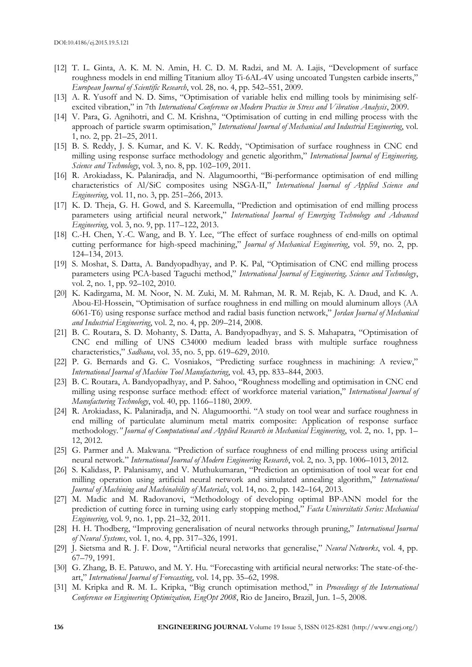- [12] T. L. Ginta, A. K. M. N. Amin, H. C. D. M. Radzi, and M. A. Lajis, "Development of surface roughness models in end milling Titanium alloy Ti-6AL-4V using uncoated Tungsten carbide inserts," *European Journal of Scientific Research*, vol. 28, no. 4, pp. 542–551, 2009.
- [13] A. R. Yusoff and N. D. Sims, "Optimisation of variable helix end milling tools by minimising selfexcited vibration," in 7th *International Conference on Modern Practice in Stress and Vibration Analysis*, 2009.
- [14] V. Para, G. Agnihotri, and C. M. Krishna, "Optimisation of cutting in end milling process with the approach of particle swarm optimisation," *International Journal of Mechanical and Industrial Engineering*, vol. 1, no. 2, pp. 21–25, 2011.
- [15] B. S. Reddy, J. S. Kumar, and K. V. K. Reddy, "Optimisation of surface roughness in CNC end milling using response surface methodology and genetic algorithm," *International Journal of Engineering, Science and Technology*, vol. 3, no. 8, pp. 102–109, 2011.
- [16] R. Arokiadass, K. Palaniradja, and N. Alagumoorthi, "Bi-performance optimisation of end milling characteristics of Al/SiC composites using NSGA-II," *International Journal of Applied Science and Engineering*, vol. 11, no. 3, pp. 251–266, 2013.
- [17] K. D. Theja, G. H. Gowd, and S. Kareemulla, "Prediction and optimisation of end milling process parameters using artificial neural network," *International Journal of Emerging Technology and Advanced Engineering*, vol. 3, no. 9, pp. 117–122, 2013.
- [18] C.-H. Chen, Y.-C. Wang, and B. Y. Lee, "The effect of surface roughness of end-mills on optimal cutting performance for high-speed machining," *Journal of Mechanical Engineering*, vol. 59, no. 2, pp. 124–134, 2013.
- [19] S. Moshat, S. Datta, A. Bandyopadhyay, and P. K. Pal, "Optimisation of CNC end milling process parameters using PCA-based Taguchi method," *International Journal of Engineering, Science and Technology*, vol. 2, no. 1, pp. 92–102, 2010.
- [20] K. Kadirgama, M. M. Noor, N. M. Zuki, M. M. Rahman, M. R. M. Rejab, K. A. Daud, and K. A. Abou-El-Hossein, "Optimisation of surface roughness in end milling on mould aluminum alloys (AA 6061-T6) using response surface method and radial basis function network," *Jordan Journal of Mechanical and Industrial Engineering*, vol. 2, no. 4, pp. 209–214, 2008.
- [21] B. C. Routara, S. D. Mohanty, S. Datta, A. Bandyopadhyay, and S. S. Mahapatra, "Optimisation of CNC end milling of UNS C34000 medium leaded brass with multiple surface roughness characteristics," *Sadhana*, vol. 35, no. 5, pp. 619–629, 2010.
- [22] P. G. Bernards and G. C. Vosniakos, "Predicting surface roughness in machining: A review," *International Journal of Machine Tool Manufacturing*, vol. 43, pp. 833–844, 2003.
- [23] B. C. Routara, A. Bandyopadhyay, and P. Sahoo, "Roughness modelling and optimisation in CNC end milling using response surface method: effect of workforce material variation," *International Journal of Manufacturing Technology*, vol. 40, pp. 1166–1180, 2009.
- [24] R. Arokiadass, K. Palaniradja, and N. Alagumoorthi. "A study on tool wear and surface roughness in end milling of particulate aluminum metal matrix composite: Application of response surface methodology*." Journal of Computational and Applied Research in Mechanical Engineering*, vol. 2, no. 1, pp. 1– 12, 2012.
- [25] G. Parmer and A. Makwana. "Prediction of surface roughness of end milling process using artificial neural network." *International Journal of Modern Engineering Research*, vol. 2, no. 3, pp. 1006–1013, 2012.
- [26] S. Kalidass, P. Palanisamy, and V. Muthukumaran, "Prediction an optimisation of tool wear for end milling operation using artificial neural network and simulated annealing algorithm," *International Journal of Machining and Machinability of Materials*, vol. 14, no. 2, pp. 142–164, 2013.
- [27] M. Madic and M. Radovanovi, "Methodology of developing optimal BP-ANN model for the prediction of cutting force in turning using early stopping method," *Facta Universitatis Series: Mechanical Engineering*, vol. 9, no. 1, pp. 21–32, 2011.
- [28] H. H. Thodberg, "Improving generalisation of neural networks through pruning," *International Journal of Neural Systems*, vol. 1, no. 4, pp. 317–326, 1991.
- [29] J. Sietsma and R. J. F. Dow, "Artificial neural networks that generalise," *Neural Networks*, vol. 4, pp. 67–79, 1991.
- [30] G. Zhang, B. E. Patuwo, and M. Y. Hu. "Forecasting with artificial neural networks: The state-of-theart," *International Journal of Forecasting*, vol. 14, pp. 35–62, 1998.
- [31] M. Kripka and R. M. L. Kripka, "Big crunch optimisation method," in *Proceedings of the International Conference on Engineering Optimization, EngOpt 2008*, Rio de Janeiro, Brazil, Jun. 1–5, 2008.